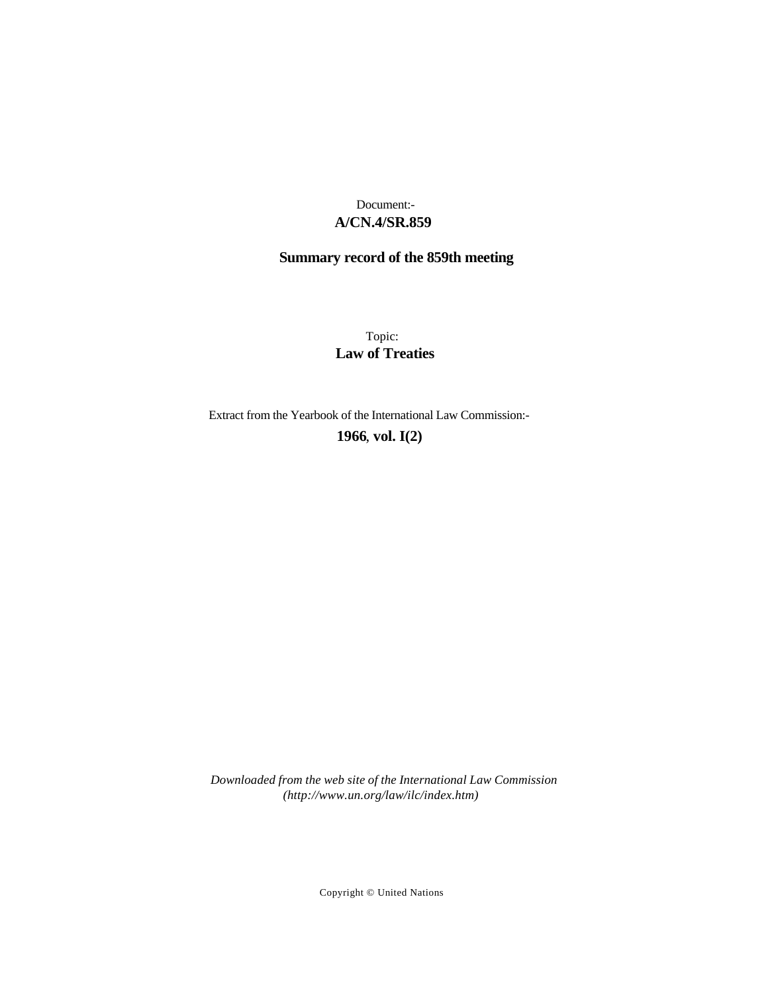## **A/CN.4/SR.859** Document:-

# **Summary record of the 859th meeting**

Topic: **Law of Treaties**

Extract from the Yearbook of the International Law Commission:-

**1966** , **vol. I(2)**

*Downloaded from the web site of the International Law Commission (http://www.un.org/law/ilc/index.htm)*

Copyright © United Nations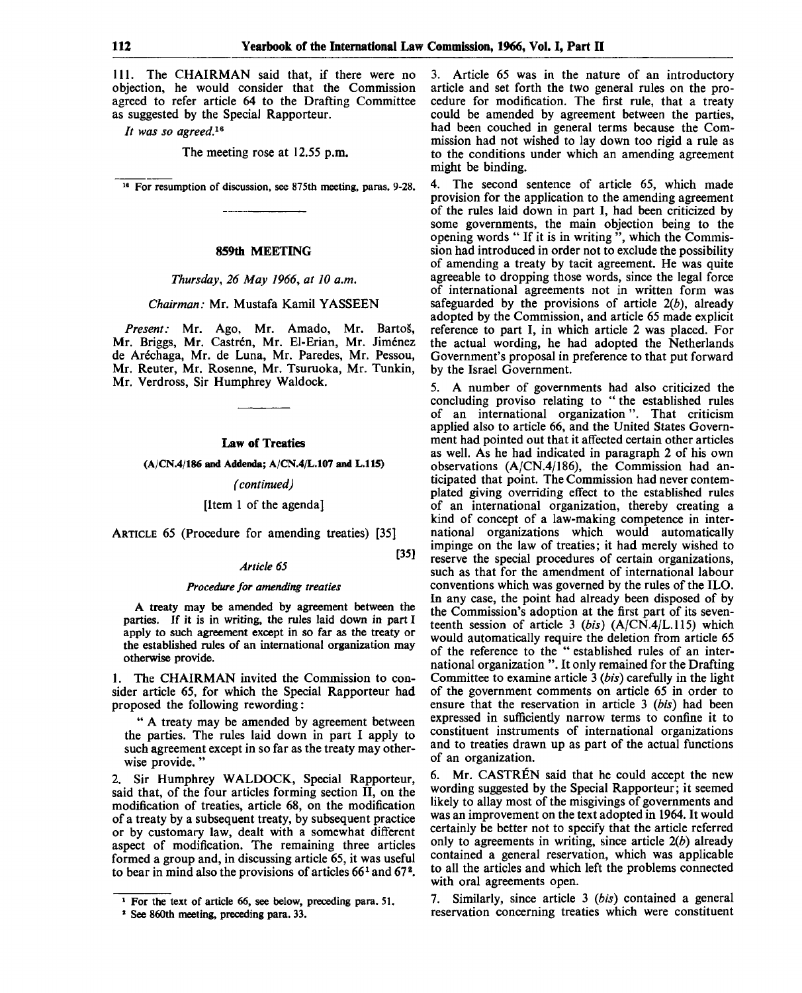[35]

111. The CHAIRMAN said that, if there were no objection, he would consider that the Commission agreed to refer article 64 to the Drafting Committee as suggested by the Special Rapporteur.

// *was so agreed.<sup>16</sup>*

The meeting rose at 12.55 p.m.

18 For resumption of discussion, see 875th meeting, paras. 9-28.

#### **859th MEETING**

*Thursday, 26 May 1966, at 10 a.m.*

## *Chairman:* Mr. Mustafa Kamil YASSEEN

*Present:* Mr. Ago, Mr. Amado, Mr. Bartos, Mr. Briggs, Mr. Castrén, Mr. El-Erian, Mr. Jiménez de Arechaga, Mr. de Luna, Mr. Paredes, Mr. Pessou, Mr. Reuter, Mr. Rosenne, Mr. Tsuruoka, Mr. Tunkin, Mr. Verdross, Sir Humphrey Waldock.

## **Law of Treaties**

 $(A/CN.4/186$  and Addenda;  $A/CN.4/L.107$  and L.115)

*(continued)*

## [Item 1 of the agenda]

ARTICLE 65 (Procedure for amending treaties) [35]

## *Article 65*

#### *Procedure for amending treaties*

A treaty may be amended by agreement between the parties. If it is in writing, the rules laid down in part I apply to such agreement except in so far as the treaty or the established rules of an international organization may otherwise provide.

1. The CHAIRMAN invited the Commission to consider article 65, for which the Special Rapporteur had proposed the following rewording:

" A treaty may be amended by agreement between the parties. The rules laid down in part I apply to such agreement except in so far as the treaty may otherwise provide.'

2. Sir Humphrey WALDOCK, Special Rapporteur, said that, of the four articles forming section II, on the modification of treaties, article 68, on the modification of a treaty by a subsequent treaty, by subsequent practice or by customary law, dealt with a somewhat different aspect of modification. The remaining three articles formed a group and, in discussing article 65, it was useful to bear in mind also the provisions of articles  $66<sup>1</sup>$  and  $67<sup>2</sup>$ .

3. Article 65 was in the nature of an introductory article and set forth the two general rules on the procedure for modification. The first rule, that a treaty could be amended by agreement between the parties, had been couched in general terms because the Commission had not wished to lay down too rigid a rule as to the conditions under which an amending agreement might be binding.

4. The second sentence of article 65, which made provision for the application to the amending agreement of the rules laid down in part I, had been criticized by some governments, the main objection being to the opening words " If it is in writing ", which the Commission had introduced in order not to exclude the possibility of amending a treaty by tacit agreement. He was quite agreeable to dropping those words, since the legal force of international agreements not in written form was safeguarded by the provisions of article *2(b),* already adopted by the Commission, and article 65 made explicit reference to part I, in which article 2 was placed. For the actual wording, he had adopted the Netherlands Government's proposal in preference to that put forward by the Israel Government.

5. A number of governments had also criticized the concluding proviso relating to " the established rules of an international organization". That criticism applied also to article 66, and the United States Government had pointed out that it affected certain other articles as well. As he had indicated in paragraph 2 of his own observations (A/CN.4/186), the Commission had anticipated that point. The Commission had never contemplated giving overriding effect to the established rules of an international organization, thereby creating a kind of concept of a law-making competence in international organizations which would automatically impinge on the law of treaties; it had merely wished to reserve the special procedures of certain organizations, such as that for the amendment of international labour conventions which was governed by the rules of the ILO. In any case, the point had already been disposed of by the Commission's adoption at the first part of its seventeenth session of article 3 *(bis)* (A/CN.4/L.115) which would automatically require the deletion from article 65 of the reference to the " established rules of an international organization ".It only remained for the Drafting Committee to examine article 3 *(bis)* carefully in the light of the government comments on article 65 in order to ensure that the reservation in article 3 *(bis)* had been expressed in sufficiently narrow terms to confine it to constituent instruments of international organizations and to treaties drawn up as part of the actual functions of an organization.

6. Mr. CASTREN said that he could accept the new wording suggested by the Special Rapporteur; it seemed likely to allay most of the misgivings of governments and was an improvement on the text adopted in 1964. It would certainly be better not to specify that the article referred only to agreements in writing, since article *2(b)* already contained a general reservation, which was applicable to all the articles and which left the problems connected with oral agreements open.

7. Similarly, since article 3 *(bis)* contained a general reservation concerning treaties which were constituent

<sup>1</sup> For the text of article 66, see below, preceding para. 51.

<sup>1</sup> See 860th meeting, preceding para. 33.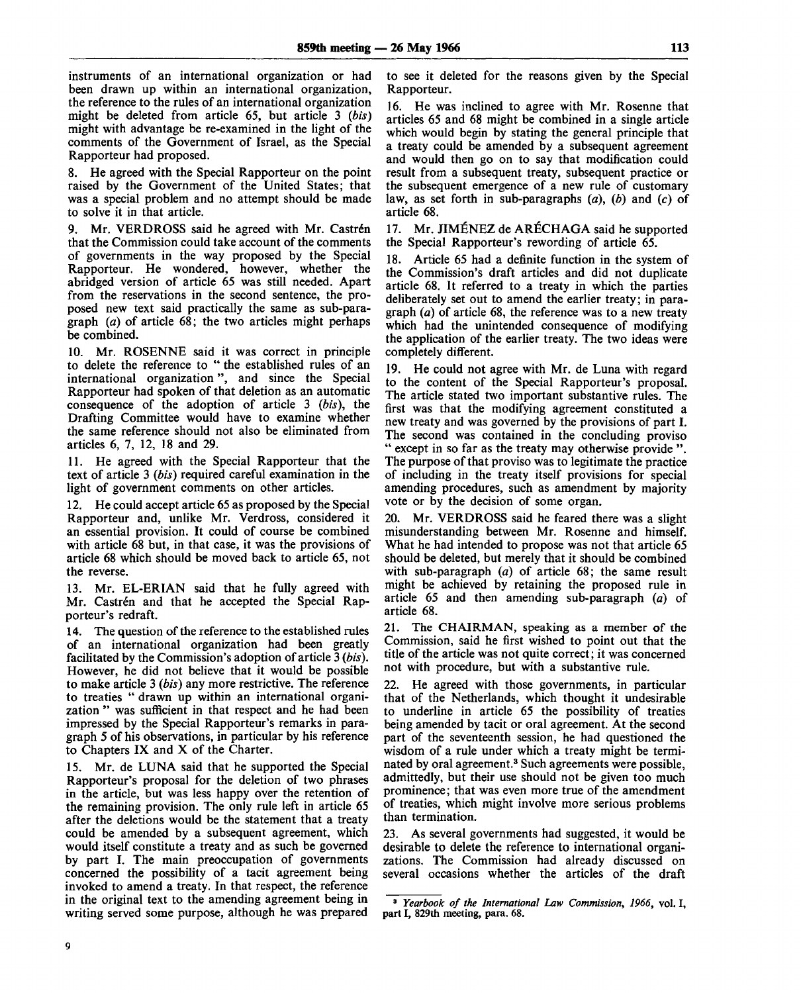instruments of an international organization or had been drawn up within an international organization, the reference to the rules of an international organization might be deleted from article 65, but article 3 *(bis)* might with advantage be re-examined in the light of the comments of the Government of Israel, as the Special Rapporteur had proposed.

8. He agreed with the Special Rapporteur on the point raised by the Government of the United States; that was a special problem and no attempt should be made to solve it in that article.

9. Mr. VERDROSS said he agreed with Mr. Castrén that the Commission could take account of the comments of governments in the way proposed by the Special Rapporteur. He wondered, however, whether the abridged version of article 65 was still needed. Apart from the reservations in the second sentence, the proposed new text said practically the same as sub-paragraph *(a)* of article 68; the two articles might perhaps be combined.

10. Mr. ROSENNE said it was correct in principle to delete the reference to " the established rules of an international organization", and since the Special Rapporteur had spoken of that deletion as an automatic consequence of the adoption of article 3 *(bis),* the Drafting Committee would have to examine whether the same reference should not also be eliminated from articles 6, 7, 12, 18 and 29.

11. He agreed with the Special Rapporteur that the text of article 3 *(bis)* required careful examination in the light of government comments on other articles.

12. He could accept article 65 as proposed by the Special Rapporteur and, unlike Mr. Verdross, considered it an essential provision. It could of course be combined with article 68 but, in that case, it was the provisions of article 68 which should be moved back to article 65, not the reverse.

13. Mr. EL-ERIAN said that he fully agreed with Mr. Castrén and that he accepted the Special Rapporteur's redraft.

14. The question of the reference to the established rules of an international organization had been greatly facilitated by the Commission's adoption of article 3 *(bis).* However, he did not believe that it would be possible to make article 3 *(bis)* any more restrictive. The reference to treaties " drawn up within an international organization " was sufficient in that respect and he had been impressed by the Special Rapporteur's remarks in paragraph 5 of his observations, in particular by his reference to Chapters IX and X of the Charter.

15. Mr. de LUNA said that he supported the Special Rapporteur's proposal for the deletion of two phrases in the article, but was less happy over the retention of the remaining provision. The only rule left in article 65 after the deletions would be the statement that a treaty could be amended by a subsequent agreement, which would itself constitute a treaty and as such be governed by part I. The main preoccupation of governments concerned the possibility of a tacit agreement being invoked to amend a treaty. In that respect, the reference in the original text to the amending agreement being in writing served some purpose, although he was prepared

to see it deleted for the reasons given by the Special Rapporteur.

16. He was inclined to agree with Mr. Rosenne that articles 65 and 68 might be combined in a single article which would begin by stating the general principle that a treaty could be amended by a subsequent agreement and would then go on to say that modification could result from a subsequent treaty, subsequent practice or the subsequent emergence of a new rule of customary law, as set forth in sub-paragraphs *(a), (b)* and *(c)* of article 68.

17. Mr. JIMENEZ de ARECHAGA said he supported the Special Rapporteur's rewording of article 65.

18. Article 65 had a definite function in the system of the Commission's draft articles and did not duplicate article 68. It referred to a treaty in which the parties deliberately set out to amend the earlier treaty; in paragraph *(a)* of article 68, the reference was to a new treaty which had the unintended consequence of modifying the application of the earlier treaty. The two ideas were completely different.

19. He could not agree with Mr. de Luna with regard to the content of the Special Rapporteur's proposal. The article stated two important substantive rules. The first was that the modifying agreement constituted a new treaty and was governed by the provisions of part I. The second was contained in the concluding proviso " except in so far as the treaty may otherwise provide ". The purpose of that proviso was to legitimate the practice of including in the treaty itself provisions for special amending procedures, such as amendment by majority vote or by the decision of some organ.

20. Mr. VERDROSS said he feared there was a slight misunderstanding between Mr. Rosenne and himself. What he had intended to propose was not that article 65 should be deleted, but merely that it should be combined with sub-paragraph *(a)* of article 68; the same result might be achieved by retaining the proposed rule in article 65 and then amending sub-paragraph *(a)* of article 68.

21. The CHAIRMAN, speaking as a member of the Commission, said he first wished to point out that the title of the article was not quite correct; it was concerned not with procedure, but with a substantive rule.

22. He agreed with those governments, in particular that of the Netherlands, which thought it undesirable to underline in article 65 the possibility of treaties being amended by tacit or oral agreement. At the second part of the seventeenth session, he had questioned the wisdom of a rule under which a treaty might be terminated by oral agreement.<sup>3</sup> Such agreements were possible, admittedly, but their use should not be given too much prominence; that was even more true of the amendment of treaties, which might involve more serious problems than termination.

23. As several governments had suggested, it would be desirable to delete the reference to international organizations. The Commission had already discussed on several occasions whether the articles of the draft

<sup>8</sup>  *Yearbook of the International Law Commission, 1966,* vol. I, part I, 829th meeting, para. 68.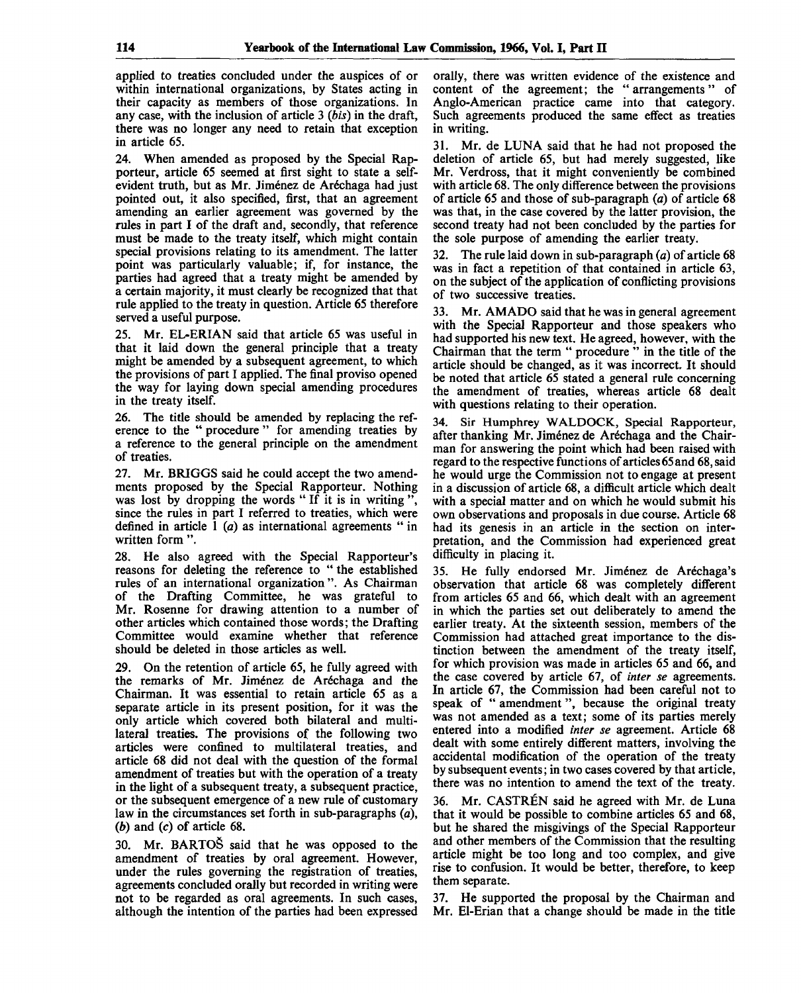applied to treaties concluded under the auspices of or within international organizations, by States acting in their capacity as members of those organizations. In any case, with the inclusion of article 3 *(bis)* in the draft, there was no longer any need to retain that exception in article 65.

24. When amended as proposed by the Special Rapporteur, article 65 seemed at first sight to state a selfevident truth, but as Mr. Jiménez de Aréchaga had just pointed out, it also specified, first, that an agreement amending an earlier agreement was governed by the rules in part I of the draft and, secondly, that reference must be made to the treaty itself, which might contain special provisions relating to its amendment. The latter point was particularly valuable; if, for instance, the parties had agreed that a treaty might be amended by a certain majority, it must clearly be recognized that that rule applied to the treaty in question. Article 65 therefore served a useful purpose.

25. Mr. EL-ERIAN said that article 65 was useful in that it laid down the general principle that a treaty might be amended by a subsequent agreement, to which the provisions of part I applied. The final proviso opened the way for laying down special amending procedures in the treaty itself.

26. The title should be amended by replacing the reference to the " procedure " for amending treaties by a reference to the general principle on the amendment of treaties.

27. Mr. BRIGGS said he could accept the two amendments proposed by the Special Rapporteur. Nothing was lost by dropping the words "If it is in writing". since the rules in part I referred to treaties, which were defined in article 1 *(a)* as international agreements " in written form ".

28. He also agreed with the Special Rapporteur's reasons for deleting the reference to " the established rules of an international organization ". As Chairman of the Drafting Committee, he was grateful to Mr. Rosenne for drawing attention to a number of other articles which contained those words; the Drafting Committee would examine whether that reference should be deleted in those articles as well.

29. On the retention of article 65, he fully agreed with the remarks of Mr. Jiménez de Aréchaga and the Chairman. It was essential to retain article 65 as a separate article in its present position, for it was the only article which covered both bilateral and multilateral treaties. The provisions of the following two articles were confined to multilateral treaties, and article 68 did not deal with the question of the formal amendment of treaties but with the operation of a treaty in the light of a subsequent treaty, a subsequent practice, or the subsequent emergence of a new rule of customary law in the circumstances set forth in sub-paragraphs *(a), (b)* and (c) of article 68.

30. Mr. BARTOS said that he was opposed to the amendment of treaties by oral agreement. However, under the rules governing the registration of treaties, agreements concluded orally but recorded in writing were not to be regarded as oral agreements. In such cases, although the intention of the parties had been expressed

orally, there was written evidence of the existence and content of the agreement; the "arrangements" of Anglo-American practice came into that category. Such agreements produced the same effect as treaties in writing.

31. Mr. de LUNA said that he had not proposed the deletion of article 65, but had merely suggested, like Mr. Verdross, that it might conveniently be combined with article 68. The only difference between the provisions of article 65 and those of sub-paragraph *(a)* of article 68 was that, in the case covered by the latter provision, the second treaty had not been concluded by the parties for the sole purpose of amending the earlier treaty.

32. The rule laid down in sub-paragraph *(a)* of article 68 was in fact a repetition of that contained in article 63, on the subject of the application of conflicting provisions of two successive treaties.

Mr. AMADO said that he was in general agreement with the Special Rapporteur and those speakers who had supported his new text. He agreed, however, with the Chairman that the term " procedure " in the title of the article should be changed, as it was incorrect. It should be noted that article 65 stated a general rule concerning the amendment of treaties, whereas article 68 dealt with questions relating to their operation.

34. Sir Humphrey WALDOCK, Special Rapporteur, after thanking Mr. Jiménez de Aréchaga and the Chairman for answering the point which had been raised with regard to the respective functions of articles 65 and 68, said he would urge the Commission not to engage at present in a discussion of article 68, a difficult article which dealt with a special matter and on which he would submit his own observations and proposals in due course. Article 68 had its genesis in an article in the section on interpretation, and the Commission had experienced great difficulty in placing it.

35. He fully endorsed Mr. Jiménez de Aréchaga's observation that article 68 was completely different from articles 65 and 66, which dealt with an agreement in which the parties set out deliberately to amend the earlier treaty. At the sixteenth session, members of the Commission had attached great importance to the distinction between the amendment of the treaty itself, for which provision was made in articles 65 and 66, and the case covered by article 67, of *inter se* agreements. In article 67, the Commission had been careful not to speak of " amendment", because the original treaty was not amended as a text; some of its parties merely entered into a modified *inter se* agreement. Article 68 dealt with some entirely different matters, involving the accidental modification of the operation of the treaty by subsequent events; in two cases covered by that article, there was no intention to amend the text of the treaty.

36. Mr. CASTREN said he agreed with Mr. de Luna that it would be possible to combine articles 65 and 68, but he shared the misgivings of the Special Rapporteur and other members of the Commission that the resulting article might be too long and too complex, and give rise to confusion. It would be better, therefore, to keep them separate.

37. He supported the proposal by the Chairman and Mr. El-Erian that a change should be made in the title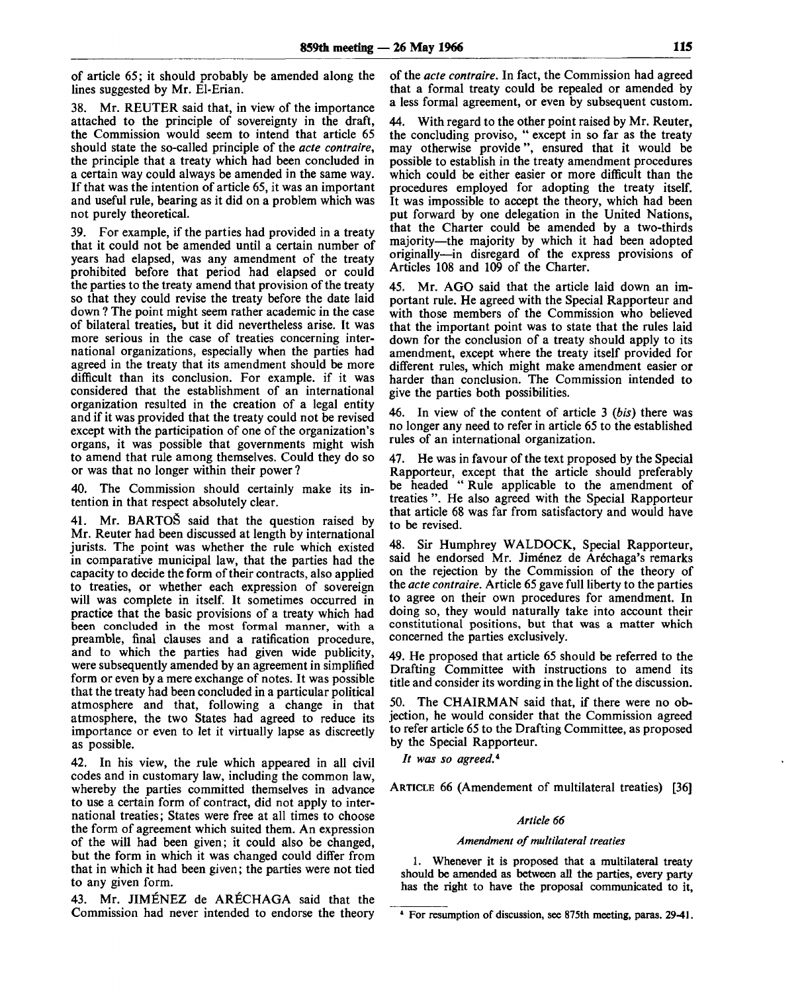of article 65; it should probably be amended along the lines suggested by Mr. El-Erian.

38. Mr. REUTER said that, in view of the importance attached to the principle of sovereignty in the draft, the Commission would seem to intend that article 65 should state the so-called principle of the *acte contraire,* the principle that a treaty which had been concluded in a certain way could always be amended in the same way. If that was the intention of article 65, it was an important and useful rule, bearing as it did on a problem which was not purely theoretical.

39. For example, if the parties had provided in a treaty that it could not be amended until a certain number of years had elapsed, was any amendment of the treaty prohibited before that period had elapsed or could the parties to the treaty amend that provision of the treaty so that they could revise the treaty before the date laid down ? The point might seem rather academic in the case of bilateral treaties, but it did nevertheless arise. It was more serious in the case of treaties concerning international organizations, especially when the parties had agreed in the treaty that its amendment should be more difficult than its conclusion. For example, if it was considered that the establishment of an international organization resulted in the creation of a legal entity and if it was provided that the treaty could not be revised except with the participation of one of the organization's organs, it was possible that governments might wish to amend that rule among themselves. Could they do so or was that no longer within their power ?

40. The Commission should certainly make its intention in that respect absolutely clear.

41. Mr. BARTOS said that the question raised by Mr. Reuter had been discussed at length by international jurists. The point was whether the rule which existed in comparative municipal law, that the parties had the capacity to decide the form of their contracts, also applied to treaties, or whether each expression of sovereign will was complete in itself. It sometimes occurred in practice that the basic provisions of a treaty which had been concluded in the most formal manner, with a preamble, final clauses and a ratification procedure, and to which the parties had given wide publicity, were subsequently amended by an agreement in simplified form or even by a mere exchange of notes. It was possible that the treaty had been concluded in a particular political atmosphere and that, following a change in that atmosphere, the two States had agreed to reduce its importance or even to let it virtually lapse as discreetly as possible.

42. In his view, the rule which appeared in all civil codes and in customary law, including the common law, whereby the parties committed themselves in advance to use a certain form of contract, did not apply to international treaties; States were free at all times to choose the form of agreement which suited them. An expression of the will had been given; it could also be changed, but the form in which it was changed could differ from that in which it had been given; the parties were not tied to any given form.

43. Mr. JIMENEZ de ARECHAGA said that the Commission had never intended to endorse the theory

of the *acte contraire.* In fact, the Commission had agreed that a formal treaty could be repealed or amended by a less formal agreement, or even by subsequent custom.

44. With regard to the other point raised by Mr. Reuter, the concluding proviso, " except in so far as the treaty may otherwise provide", ensured that it would be possible to establish in the treaty amendment procedures which could be either easier or more difficult than the procedures employed for adopting the treaty itself. It was impossible to accept the theory, which had been put forward by one delegation in the United Nations, that the Charter could be amended by a two-thirds majority—the majority by which it had been adopted originally—in disregard of the express provisions of Articles 108 and 109 of the Charter.

45. Mr. AGO said that the article laid down an important rule. He agreed with the Special Rapporteur and with those members of the Commission who believed that the important point was to state that the rules laid down for the conclusion of a treaty should apply to its amendment, except where the treaty itself provided for different rules, which might make amendment easier or harder than conclusion. The Commission intended to give the parties both possibilities.

46. In view of the content of article 3 *(bis)* there was no longer any need to refer in article 65 to the established rules of an international organization.

47. He was in favour of the text proposed by the Special Rapporteur, except that the article should preferably be headed " Rule applicable to the amendment of treaties ". He also agreed with the Special Rapporteur that article 68 was far from satisfactory and would have to be revised.

48. Sir Humphrey WALDOCK, Special Rapporteur, said he endorsed Mr. Jiménez de Aréchaga's remarks on the rejection by the Commission of the theory of the *acte contraire.* Article 65 gave full liberty to the parties to agree on their own procedures for amendment. In doing so, they would naturally take into account their constitutional positions, but that was a matter which concerned the parties exclusively.

49. He proposed that article 65 should be referred to the Drafting Committee with instructions to amend its title and consider its wording in the light of the discussion.

50. The CHAIRMAN said that, if there were no objection, he would consider that the Commission agreed to refer article 65 to the Drafting Committee, as proposed by the Special Rapporteur.

// *was so agreed.\**

ARTICLE 66 (Amendement of multilateral treaties) [36]

#### *Article 66*

#### *Amendment of multilateral treaties*

1. Whenever it is proposed that a multilateral treaty should be amended as between all the parties, every party has the right to have the proposal communicated to it,

<sup>4</sup> For resumption of discussion, see 875th meeting, paras. 29-41.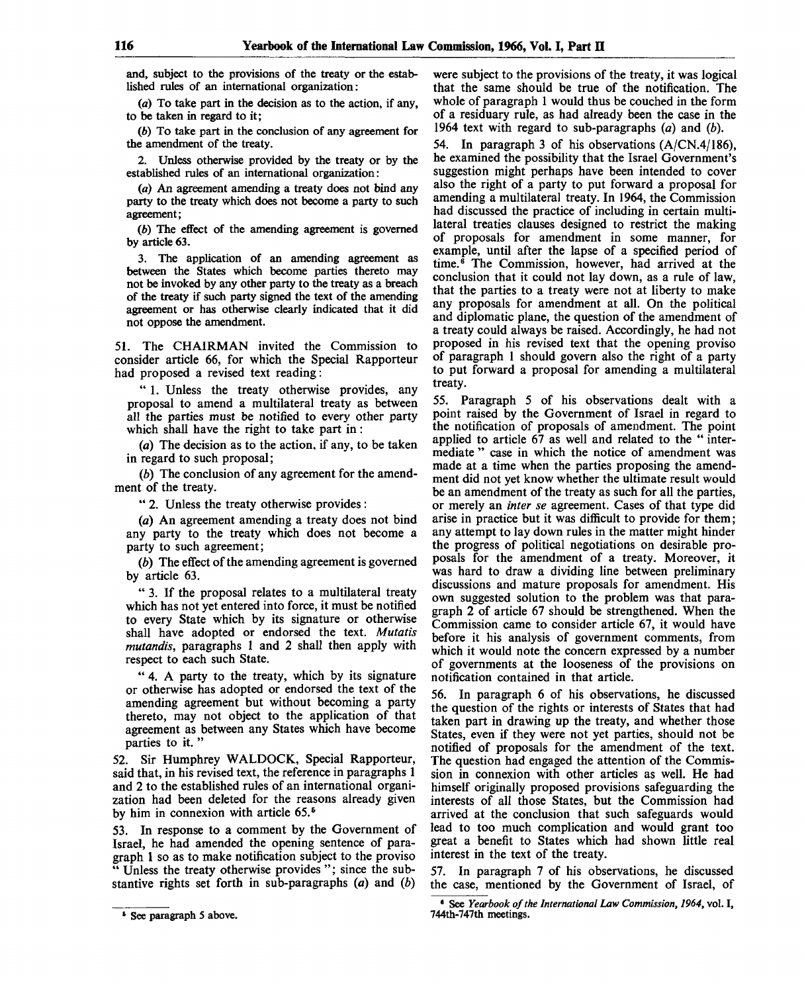and, subject to the provisions of the treaty or the established rules of an international organization:

*(a)* To take part in the decision as to the action, if any, to be taken in regard to it;

*(b)* To take part in the conclusion of any agreement for the amendment of the treaty.

2. Unless otherwise provided by the treaty or by the established rules of an international organization:

*(a)* An agreement amending a treaty does not bind any party to the treaty which does not become a party to such agreement;

*(b)* The effect of the amending agreement is governed by article 63.

3. The application of an amending agreement as between the States which become parties thereto may not be invoked by any other party to the treaty as a breach of the treaty if such party signed the text of the amending agreement or has otherwise clearly indicated that it did not oppose the amendment.

51. The CHAIRMAN invited the Commission to consider article 66, for which the Special Rapporteur had proposed a revised text reading:

" 1. Unless the treaty otherwise provides, any proposal to amend a multilateral treaty as between all the parties must be notified to every other party which shall have the right to take part in:

*(a)* The decision as to the action, if any, to be taken in regard to such proposal;

*(b)* The conclusion of any agreement for the amendment of the treaty.

" 2. Unless the treaty otherwise provides :

(a) An agreement amending a treaty does not bind any party to the treaty which does not become a party to such agreement;

*(b)* The effect of the amending agreement is governed by article 63.

" 3. If the proposal relates to a multilateral treaty which has not yet entered into force, it must be notified to every State which by its signature or otherwise shall have adopted or endorsed the text. *Mutatis mutandis,* paragraphs 1 and 2 shall then apply with respect to each such State.

" 4. A party to the treaty, which by its signature or otherwise has adopted or endorsed the text of the amending agreement but without becoming a party thereto, may not object to the application of that agreement as between any States which have become parties to it. "

52. Sir Humphrey WALDOCK, Special Rapporteur, said that, in his revised text, the reference in paragraphs 1 and 2 to the established rules of an international organization had been deleted for the reasons already given by him in connexion with article 65.<sup>5</sup>

53. In response to a comment by the Government of Israel, he had amended the opening sentence of paragraph 1 so as to make notification subject to the proviso " Unless the treaty otherwise provides "; since the substantive rights set forth in sub-paragraphs *(a)* and *(b)*

were subject to the provisions of the treaty, it was logical that the same should be true of the notification. The whole of paragraph 1 would thus be couched in the form of a residuary rule, as had already been the case in the 1964 text with regard to sub-paragraphs *(a)* and *(b).*

54. In paragraph 3 of his observations (A/CN.4/186), he examined the possibility that the Israel Government's suggestion might perhaps have been intended to cover also the right of a party to put forward a proposal for amending a multilateral treaty. In 1964, the Commission had discussed the practice of including in certain multilateral treaties clauses designed to restrict the making of proposals for amendment in some manner, for example, until after the lapse of a specified period of time.<sup>6</sup> The Commission, however, had arrived at the conclusion that it could not lay down, as a rule of law, that the parties to a treaty were not at liberty to make any proposals for amendment at all. On the political and diplomatic plane, the question of the amendment of a treaty could always be raised. Accordingly, he had not proposed in his revised text that the opening proviso of paragraph 1 should govern also the right of a party to put forward a proposal for amending a multilateral treaty.

55. Paragraph 5 of his observations dealt with a point raised by the Government of Israel in regard to the notification of proposals of amendment. The point applied to article 67 as well and related to the " intermediate " case in which the notice of amendment was made at a time when the parties proposing the amendment did not yet know whether the ultimate result would be an amendment of the treaty as such for all the parties, or merely an *inter se* agreement. Cases of that type did arise in practice but it was difficult to provide for them; any attempt to lay down rules in the matter might hinder the progress of political negotiations on desirable proposals for the amendment of a treaty. Moreover, it was hard to draw a dividing line between preliminary discussions and mature proposals for amendment. His own suggested solution to the problem was that paragraph 2 of article 67 should be strengthened. When the Commission came to consider article 67, it would have before it his analysis of government comments, from which it would note the concern expressed by a number of governments at the looseness of the provisions on notification contained in that article.

56. In paragraph 6 of his observations, he discussed the question of the rights or interests of States that had taken part in drawing up the treaty, and whether those States, even if they were not yet parties, should not be notified of proposals for the amendment of the text. The question had engaged the attention of the Commission in connexion with other articles as well. He had himself originally proposed provisions safeguarding the interests of all those States, but the Commission had arrived at the conclusion that such safeguards would lead to too much complication and would grant too great a benefit to States which had shown little real interest in the text of the treaty.

57. In paragraph 7 of his observations, he discussed the case, mentioned by the Government of Israel, of

<sup>&</sup>lt;sup>5</sup> See paragraph 5 above.

<sup>6</sup> See *Yearbook of the International Law Commission, 1964,* vol. I, 744th-747th meetings.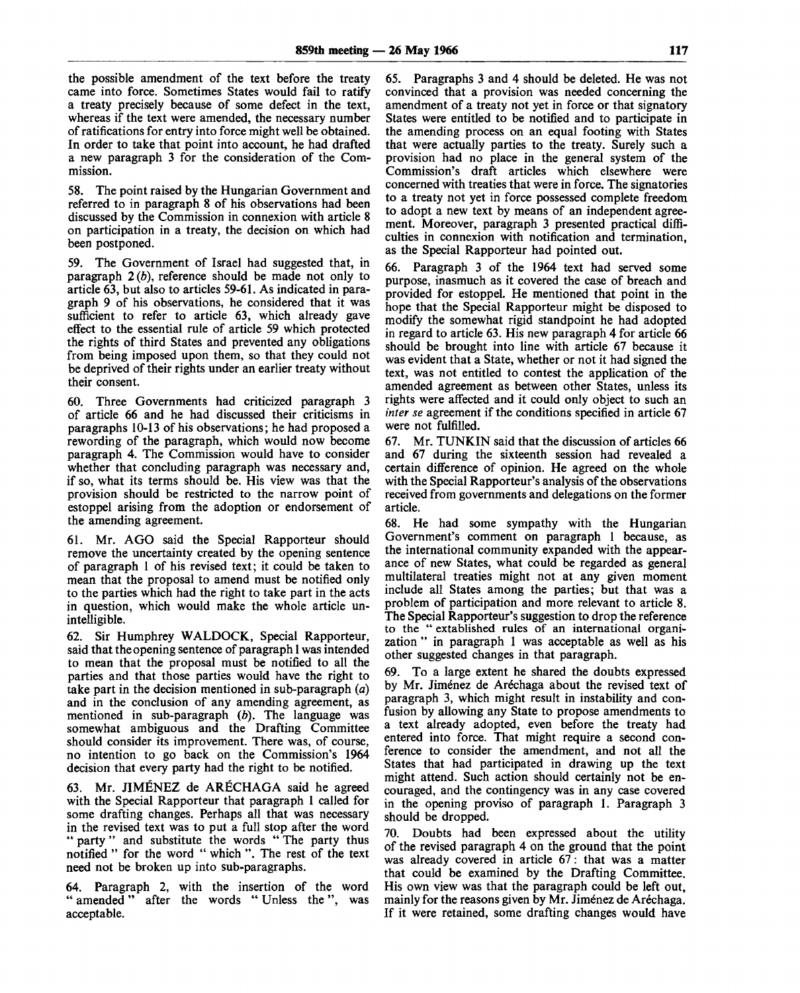the possible amendment of the text before the treaty came into force. Sometimes States would fail to ratify a treaty precisely because of some defect in the text, whereas if the text were amended, the necessary number of ratifications for entry into force might well be obtained. In order to take that point into account, he had drafted a new paragraph 3 for the consideration of the Commission.

58. The point raised by the Hungarian Government and referred to in paragraph 8 of his observations had been discussed by the Commission in connexion with article 8 on participation in a treaty, the decision on which had been postponed.

59. The Government of Israel had suggested that, in paragraph  $2(b)$ , reference should be made not only to article 63, but also to articles 59-61. As indicated in paragraph 9 of his observations, he considered that it was sufficient to refer to article 63, which already gave effect to the essential rule of article 59 which protected the rights of third States and prevented any obligations from being imposed upon them, so that they could not be deprived of their rights under an earlier treaty without their consent.

60. Three Governments had criticized paragraph 3 of article 66 and he had discussed their criticisms in paragraphs 10-13 of his observations; he had proposed a rewording of the paragraph, which would now become paragraph 4. The Commission would have to consider whether that concluding paragraph was necessary and, if so, what its terms should be. His view was that the provision should be restricted to the narrow point of estoppel arising from the adoption or endorsement of the amending agreement.

61. Mr. AGO said the Special Rapporteur should remove the uncertainty created by the opening sentence of paragraph 1 of his revised text; it could be taken to mean that the proposal to amend must be notified only to the parties which had the right to take part in the acts in question, which would make the whole article unintelligible.

62. Sir Humphrey WALDOCK, Special Rapporteur, said that the opening sentence of paragraph 1 was intended to mean that the proposal must be notified to all the parties and that those parties would have the right to take part in the decision mentioned in sub-paragraph *(a)* and in the conclusion of any amending agreement, as mentioned in sub-paragraph  $(b)$ . The language was somewhat ambiguous and the Drafting Committee should consider its improvement. There was, of course, no intention to go back on the Commission's 1964 decision that every party had the right to be notified.

63. Mr. JIMENEZ de ARECHAGA said he agreed with the Special Rapporteur that paragraph 1 called for some drafting changes. Perhaps all that was necessary in the revised text was to put a full stop after the word " party " and substitute the words "The party thus notified " for the word " which ". The rest of the text need not be broken up into sub-paragraphs.

64. Paragraph 2, with the insertion of the word " amended " after the words " Unless the ", was acceptable.

65. Paragraphs 3 and 4 should be deleted. He was not convinced that a provision was needed concerning the amendment of a treaty not yet in force or that signatory States were entitled to be notified and to participate in the amending process on an equal footing with States that were actually parties to the treaty. Surely such a provision had no place in the general system of the Commission's draft articles which elsewhere were concerned with treaties that were in force. The signatories to a treaty not yet in force possessed complete freedom to adopt a new text by means of an independent agreement. Moreover, paragraph 3 presented practical difficulties in connexion with notification and termination, as the Special Rapporteur had pointed out.

66. Paragraph 3 of the 1964 text had served some purpose, inasmuch as it covered the case of breach and provided for estoppel. He mentioned that point in the hope that the Special Rapporteur might be disposed to modify the somewhat rigid standpoint he had adopted in regard to article 63. His new paragraph 4 for article 66 should be brought into line with article 67 because it was evident that a State, whether or not it had signed the text, was not entitled to contest the application of the amended agreement as between other States, unless its rights were affected and it could only object to such an *inter se* agreement if the conditions specified in article 67 were not fulfilled.

67. Mr. TUNKIN said that the discussion of articles 66 and 67 during the sixteenth session had revealed a certain difference of opinion. He agreed on the whole with the Special Rapporteur's analysis of the observations received from governments and delegations on the former article.

68. He had some sympathy with the Hungarian Government's comment on paragraph 1 because, as the international community expanded with the appearance of new States, what could be regarded as general multilateral treaties might not at any given moment include all States among the parties; but that was a problem of participation and more relevant to article 8. The Special Rapporteur's suggestion to drop the reference to the " extablished rules of an international organization " in paragraph 1 was acceptable as well as his other suggested changes in that paragraph.

69. To a large extent he shared the doubts expressed by Mr. Jiménez de Aréchaga about the revised text of paragraph 3, which might result in instability and confusion by allowing any State to propose amendments to a text already adopted, even before the treaty had entered into force. That might require a second conference to consider the amendment, and not all the States that had participated in drawing up the text might attend. Such action should certainly not be encouraged, and the contingency was in any case covered in the opening proviso of paragraph 1. Paragraph 3 should be dropped.

70. Doubts had been expressed about the utility of the revised paragraph 4 on the ground that the point was already covered in article 67: that was a matter that could be examined by the Drafting Committee. His own view was that the paragraph could be left out, mainly for the reasons given by Mr. Jiménez de Aréchaga. If it were retained, some drafting changes would have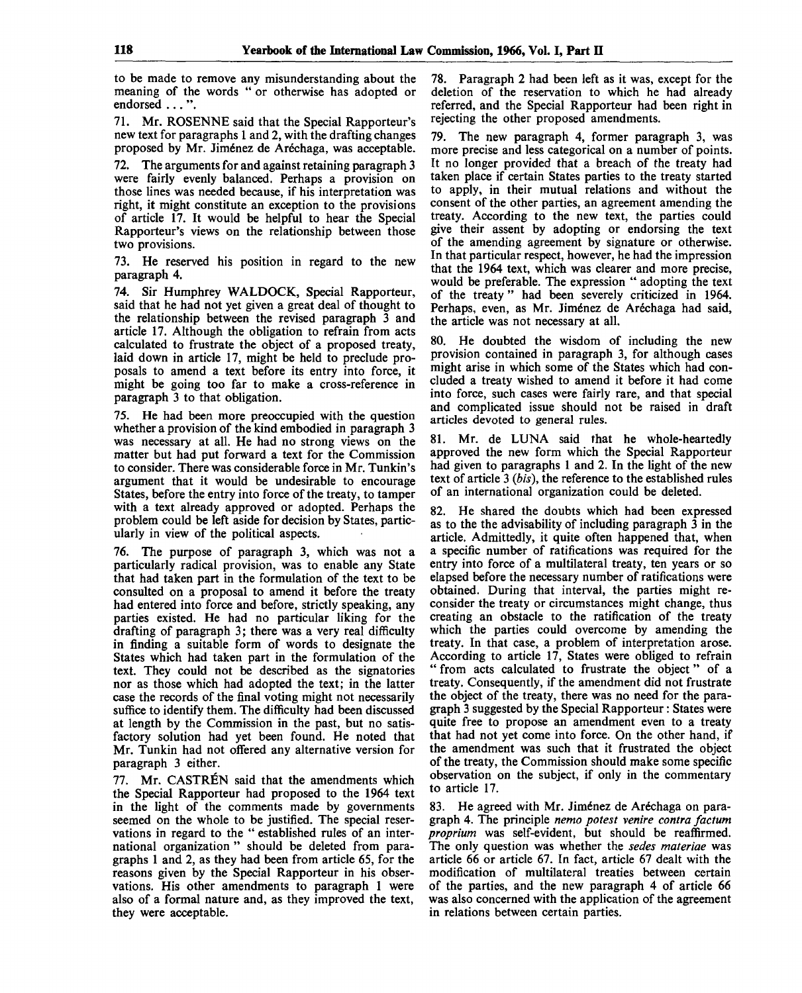to be made to remove any misunderstanding about the meaning of the words " or otherwise has adopted or endorsed .. . ".

71. Mr. ROSENNE said that the Special Rapporteur's new text for paragraphs 1 and 2, with the drafting changes proposed by Mr. Jiménez de Aréchaga, was acceptable.

72. The arguments for and against retaining paragraph 3 were fairly evenly balanced. Perhaps a provision on those lines was needed because, if his interpretation was right, it might constitute an exception to the provisions of article 17. It would be helpful to hear the Special Rapporteur's views on the relationship between those two provisions.

73. He reserved his position in regard to the new paragraph 4.

74. Sir Humphrey WALDOCK, Special Rapporteur, said that he had not yet given a great deal of thought to the relationship between the revised paragraph 3 and article 17. Although the obligation to refrain from acts calculated to frustrate the object of a proposed treaty, laid down in article 17, might be held to preclude proposals to amend a text before its entry into force, it might be going too far to make a cross-reference in paragraph 3 to that obligation.

75. He had been more preoccupied with the question whether a provision of the kind embodied in paragraph 3 was necessary at all. He had no strong views on the matter but had put forward a text for the Commission to consider. There was considerable force in Mr. Tunkin's argument that it would be undesirable to encourage States, before the entry into force of the treaty, to tamper with a text already approved or adopted. Perhaps the problem could be left aside for decision by States, particularly in view of the political aspects.

76. The purpose of paragraph 3, which was not a particularly radical provision, was to enable any State that had taken part in the formulation of the text to be consulted on a proposal to amend it before the treaty had entered into force and before, strictly speaking, any parties existed. He had no particular liking for the drafting of paragraph 3; there was a very real difficulty in finding a suitable form of words to designate the States which had taken part in the formulation of the text. They could not be described as the signatories nor as those which had adopted the text; in the latter case the records of the final voting might not necessarily suffice to identify them. The difficulty had been discussed at length by the Commission in the past, but no satisfactory solution had yet been found. He noted that Mr. Tunkin had not offered any alternative version for paragraph 3 either.

77. Mr. CASTREN said that the amendments which the Special Rapporteur had proposed to the 1964 text in the light of the comments made by governments seemed on the whole to be justified. The special reservations in regard to the " established rules of an international organization " should be deleted from paragraphs 1 and 2, as they had been from article 65, for the reasons given by the Special Rapporteur in his observations. His other amendments to paragraph 1 were also of a formal nature and, as they improved the text, they were acceptable.

78. Paragraph 2 had been left as it was, except for the deletion of the reservation to which he had already referred, and the Special Rapporteur had been right in rejecting the other proposed amendments.

79. The new paragraph 4, former paragraph 3, was more precise and less categorical on a number of points. It no longer provided that a breach of the treaty had taken place if certain States parties to the treaty started to apply, in their mutual relations and without the consent of the other parties, an agreement amending the treaty. According to the new text, the parties could give their assent by adopting or endorsing the text of the amending agreement by signature or otherwise. In that particular respect, however, he had the impression that the 1964 text, which was clearer and more precise, would be preferable. The expression " adopting the text of the treaty" had been severely criticized in 1964. Perhaps, even, as Mr. Jiménez de Aréchaga had said, the article was not necessary at all.

80. He doubted the wisdom of including the new provision contained in paragraph 3, for although cases might arise in which some of the States which had concluded a treaty wished to amend it before it had come into force, such cases were fairly rare, and that special and complicated issue should not be raised in draft articles devoted to general rules.

81. Mr. de LUNA said that he whole-heartedly approved the new form which the Special Rapporteur had given to paragraphs 1 and 2. In the light of the new text of article 3 *(bis),* the reference to the established rules of an international organization could be deleted.

82. He shared the doubts which had been expressed as to the the advisability of including paragraph 3 in the article. Admittedly, it quite often happened that, when a specific number of ratifications was required for the entry into force of a multilateral treaty, ten years or so elapsed before the necessary number of ratifications were obtained. During that interval, the parties might reconsider the treaty or circumstances might change, thus creating an obstacle to the ratification of the treaty which the parties could overcome by amending the treaty. In that case, a problem of interpretation arose. According to article 17, States were obliged to refrain " from acts calculated to frustrate the object" of a treaty. Consequently, if the amendment did not frustrate the object of the treaty, there was no need for the paragraph 3 suggested by the Special Rapporteur: States were quite free to propose an amendment even to a treaty that had not yet come into force. On the other hand, if the amendment was such that it frustrated the object of the treaty, the Commission should make some specific observation on the subject, if only in the commentary to article 17.

83. He agreed with Mr. Jiménez de Aréchaga on paragraph 4. The principle *nemo potest venire contra factum proprium* was self-evident, but should be reaffirmed. The only question was whether the *sedes materiae* was article 66 or article 67. In fact, article 67 dealt with the modification of multilateral treaties between certain of the parties, and the new paragraph 4 of article 66 was also concerned with the application of the agreement in relations between certain parties.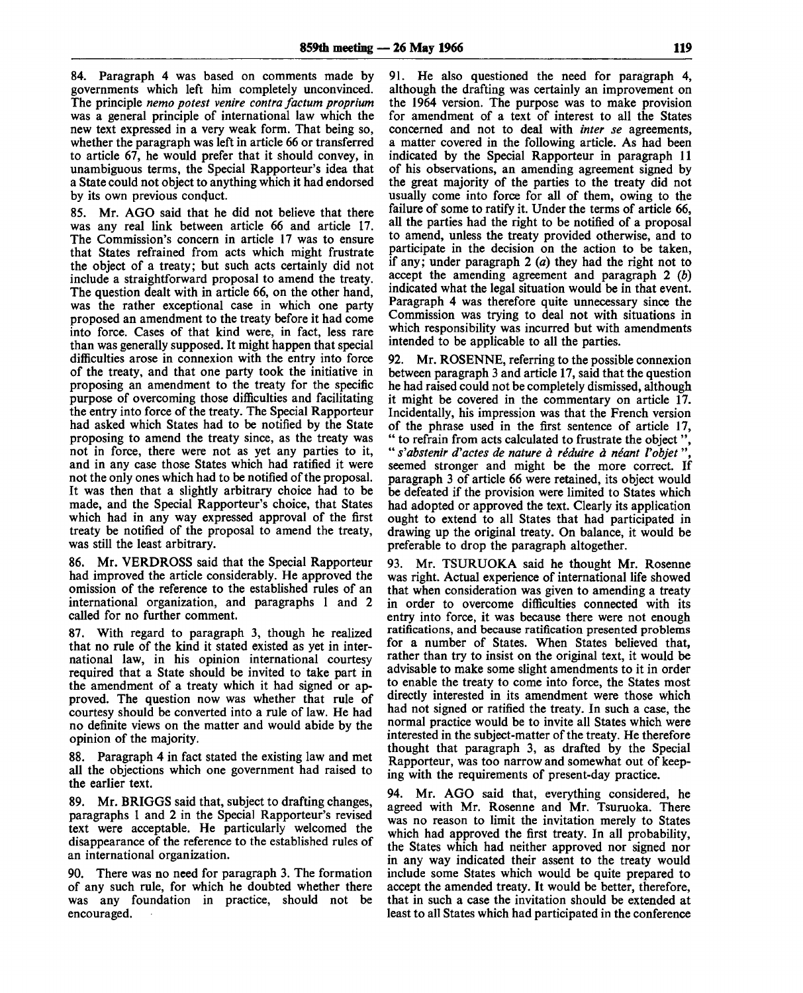84. Paragraph 4 was based on comments made by governments which left him completely unconvinced. The principle *nemo potest venire contra factum proprium* was a general principle of international law which the new text expressed in a very weak form. That being so, whether the paragraph was left in article 66 or transferred to article 67, he would prefer that it should convey, in unambiguous terms, the Special Rapporteur's idea that a State could not object to anything which it had endorsed by its own previous conduct.

85. Mr. AGO said that he did not believe that there was any real link between article 66 and article 17. The Commission's concern in article 17 was to ensure that States refrained from acts which might frustrate the object of a treaty; but such acts certainly did not include a straightforward proposal to amend the treaty. The question dealt with in article 66, on the other hand, was the rather exceptional case in which one party proposed an amendment to the treaty before it had come into force. Cases of that kind were, in fact, less rare than was generally supposed. It might happen that special difficulties arose in connexion with the entry into force of the treaty, and that one party took the initiative in proposing an amendment to the treaty for the specific purpose of overcoming those difficulties and facilitating the entry into force of the treaty. The Special Rapporteur had asked which States had to be notified by the State proposing to amend the treaty since, as the treaty was not in force, there were not as yet any parties to it, and in any case those States which had ratified it were not the only ones which had to be notified of the proposal. It was then that a slightly arbitrary choice had to be made, and the Special Rapporteur's choice, that States which had in any way expressed approval of the first treaty be notified of the proposal to amend the treaty, was still the least arbitrary.

86. Mr. VERDROSS said that the Special Rapporteur had improved the article considerably. He approved the omission of the reference to the established rules of an international organization, and paragraphs 1 and 2 called for no further comment.

87. With regard to paragraph 3, though he realized that no rule of the kind it stated existed as yet in international law, in his opinion international courtesy required that a State should be invited to take part in the amendment of a treaty which it had signed or approved. The question now was whether that rule of courtesy should be converted into a rule of law. He had no definite views on the matter and would abide by the opinion of the majority.

88. Paragraph 4 in fact stated the existing law and met all the objections which one government had raised to the earlier text.

89. Mr. BRIGGS said that, subject to drafting changes, paragraphs 1 and 2 in the Special Rapporteur's revised text were acceptable. He particularly welcomed the disappearance of the reference to the established rules of an international organization.

90. There was no need for paragraph 3. The formation of any such rule, for which he doubted whether there was any foundation in practice, should not be encouraged.

91. He also questioned the need for paragraph 4, although the drafting was certainly an improvement on the 1964 version. The purpose was to make provision for amendment of a text of interest to all the States concerned and not to deal with *inter se* agreements, a matter covered in the following article. As had been indicated by the Special Rapporteur in paragraph 11 of his observations, an amending agreement signed by the great majority of the parties to the treaty did not usually come into force for all of them, owing to the failure of some to ratify it. Under the terms of article 66, all the parties had the right to be notified of a proposal to amend, unless the treaty provided otherwise, and to participate in the decision on the action to be taken, if any; under paragraph 2 *(a)* they had the right not to accept the amending agreement and paragraph 2 *(b)* indicated what the legal situation would be in that event. Paragraph 4 was therefore quite unnecessary since the Commission was trying to deal not with situations in which responsibility was incurred but with amendments intended to be applicable to all the parties.

92. Mr. ROSENNE, referring to the possible connexion between paragraph 3 and article 17, said that the question he had raised could not be completely dismissed, although it might be covered in the commentary on article 17. Incidentally, his impression was that the French version of the phrase used in the first sentence of article 17, " to refrain from acts calculated to frustrate the object ", " *s'abstenir d'actes de nature a reduire a neant Vobjet* ", seemed stronger and might be the more correct. If paragraph 3 of article 66 were retained, its object would be defeated if the provision were limited to States which had adopted or approved the text. Clearly its application ought to extend to all States that had participated in drawing up the original treaty. On balance, it would be preferable to drop the paragraph altogether.

93. Mr. TSURUOKA said he thought Mr. Rosenne was right. Actual experience of international life showed that when consideration was given to amending a treaty in order to overcome difficulties connected with its entry into force, it was because there were not enough ratifications, and because ratification presented problems for a number of States. When States believed that, rather than try to insist on the original text, it would be advisable to make some slight amendments to it in order to enable the treaty to come into force, the States most directly interested in its amendment were those which had not signed or ratified the treaty. In such a case, the normal practice would be to invite all States which were interested in the subject-matter of the treaty. He therefore thought that paragraph 3, as drafted by the Special Rapporteur, was too narrow and somewhat out of keeping with the requirements of present-day practice.

94. Mr. AGO said that, everything considered, he agreed with Mr. Rosenne and Mr. Tsuruoka. There was no reason to limit the invitation merely to States which had approved the first treaty. In all probability, the States which had neither approved nor signed nor in any way indicated their assent to the treaty would include some States which would be quite prepared to accept the amended treaty. It would be better, therefore, that in such a case the invitation should be extended at least to all States which had participated in the conference